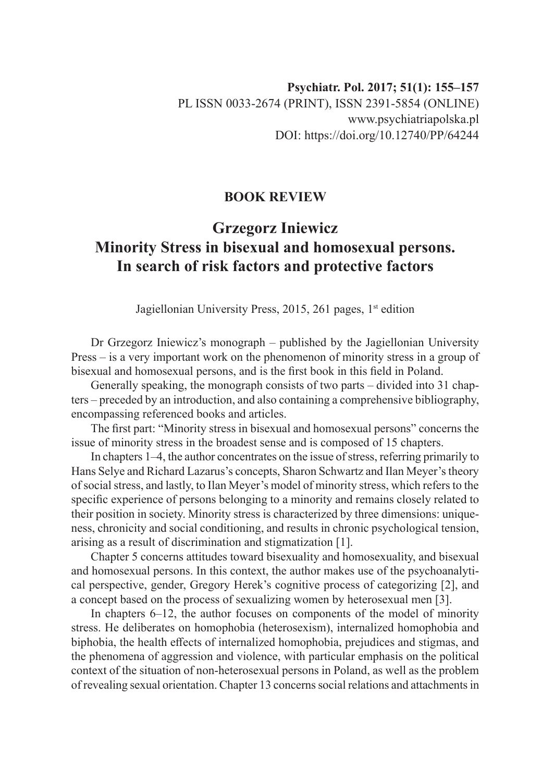## **BOOK REVIEW**

## **Grzegorz Iniewicz Minority Stress in bisexual and homosexual persons. In search of risk factors and protective factors**

Jagiellonian University Press, 2015, 261 pages, 1<sup>st</sup> edition

Dr Grzegorz Iniewicz's monograph – published by the Jagiellonian University Press – is a very important work on the phenomenon of minority stress in a group of bisexual and homosexual persons, and is the first book in this field in Poland.

Generally speaking, the monograph consists of two parts – divided into 31 chapters – preceded by an introduction, and also containing a comprehensive bibliography, encompassing referenced books and articles.

The first part: "Minority stress in bisexual and homosexual persons" concerns the issue of minority stress in the broadest sense and is composed of 15 chapters.

In chapters 1–4, the author concentrates on the issue of stress, referring primarily to Hans Selye and Richard Lazarus's concepts, Sharon Schwartz and Ilan Meyer's theory of social stress, and lastly, to Ilan Meyer's model of minority stress, which refers to the specific experience of persons belonging to a minority and remains closely related to their position in society. Minority stress is characterized by three dimensions: uniqueness, chronicity and social conditioning, and results in chronic psychological tension, arising as a result of discrimination and stigmatization [1].

Chapter 5 concerns attitudes toward bisexuality and homosexuality, and bisexual and homosexual persons. In this context, the author makes use of the psychoanalytical perspective, gender, Gregory Herek's cognitive process of categorizing [2], and a concept based on the process of sexualizing women by heterosexual men [3].

In chapters 6–12, the author focuses on components of the model of minority stress. He deliberates on homophobia (heterosexism), internalized homophobia and biphobia, the health effects of internalized homophobia, prejudices and stigmas, and the phenomena of aggression and violence, with particular emphasis on the political context of the situation of non-heterosexual persons in Poland, as well as the problem of revealing sexual orientation. Chapter 13 concerns social relations and attachments in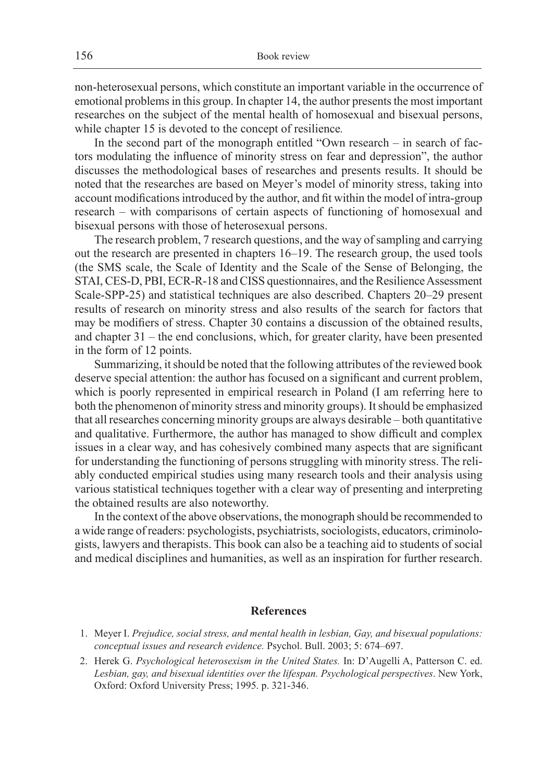non-heterosexual persons, which constitute an important variable in the occurrence of emotional problems in this group. In chapter 14, the author presents the most important researches on the subject of the mental health of homosexual and bisexual persons, while chapter 15 is devoted to the concept of resilience*.*

In the second part of the monograph entitled "Own research – in search of factors modulating the influence of minority stress on fear and depression", the author discusses the methodological bases of researches and presents results. It should be noted that the researches are based on Meyer's model of minority stress, taking into account modifications introduced by the author, and fit within the model of intra-group research – with comparisons of certain aspects of functioning of homosexual and bisexual persons with those of heterosexual persons.

The research problem, 7 research questions, and the way of sampling and carrying out the research are presented in chapters 16–19. The research group, the used tools (the SMS scale, the Scale of Identity and the Scale of the Sense of Belonging, the STAI, CES-D, PBI, ECR-R-18 and CISS questionnaires, and the Resilience Assessment Scale-SPP-25) and statistical techniques are also described. Chapters 20–29 present results of research on minority stress and also results of the search for factors that may be modifiers of stress. Chapter 30 contains a discussion of the obtained results, and chapter 31 – the end conclusions, which, for greater clarity, have been presented in the form of 12 points.

Summarizing, it should be noted that the following attributes of the reviewed book deserve special attention: the author has focused on a significant and current problem, which is poorly represented in empirical research in Poland (I am referring here to both the phenomenon of minority stress and minority groups). It should be emphasized that all researches concerning minority groups are always desirable – both quantitative and qualitative. Furthermore, the author has managed to show difficult and complex issues in a clear way, and has cohesively combined many aspects that are significant for understanding the functioning of persons struggling with minority stress. The reliably conducted empirical studies using many research tools and their analysis using various statistical techniques together with a clear way of presenting and interpreting the obtained results are also noteworthy.

In the context of the above observations, the monograph should be recommended to a wide range of readers: psychologists, psychiatrists, sociologists, educators, criminologists, lawyers and therapists. This book can also be a teaching aid to students of social and medical disciplines and humanities, as well as an inspiration for further research.

## **References**

- 1. Meyer I. *Prejudice, social stress, and mental health in lesbian, Gay, and bisexual populations: conceptual issues and research evidence.* Psychol. Bull. 2003; 5: 674–697.
- 2. Herek G. *Psychological heterosexism in the United States.* In: D'Augelli A, Patterson C. ed. *Lesbian, gay, and bisexual identities over the lifespan. Psychological perspectives*. New York, Oxford: Oxford University Press; 1995. p. 321-346.